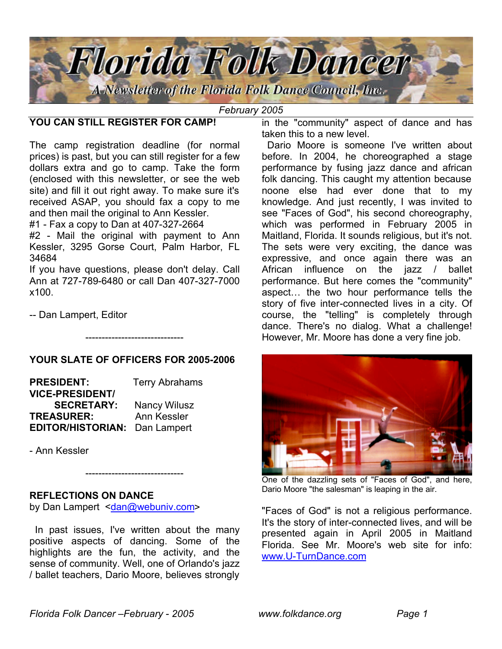

#### *February 2005*

## **YOU CAN STILL REGISTER FOR CAMP!**

The camp registration deadline (for normal prices) is past, but you can still register for a few dollars extra and go to camp. Take the form (enclosed with this newsletter, or see the web site) and fill it out right away. To make sure it's received ASAP, you should fax a copy to me and then mail the original to Ann Kessler.

#1 - Fax a copy to Dan at 407-327-2664

#2 - Mail the original with payment to Ann Kessler, 3295 Gorse Court, Palm Harbor, FL 34684

If you have questions, please don't delay. Call Ann at 727-789-6480 or call Dan 407-327-7000 x100.

-- Dan Lampert, Editor

### **YOUR SLATE OF OFFICERS FOR 2005-2006**

------------------------------

**PRESIDENT:** Terry Abrahams **VICE-PRESIDENT/ SECRETARY:** Nancy Wilusz **TREASURER:** Ann Kessler **EDITOR/HISTORIAN:** Dan Lampert

- Ann Kessler

#### **REFLECTIONS ON DANCE**

by Dan Lampert <dan@webuniv.com>

 In past issues, I've written about the many positive aspects of dancing. Some of the highlights are the fun, the activity, and the sense of community. Well, one of Orlando's jazz / ballet teachers, Dario Moore, believes strongly

------------------------------

in the "community" aspect of dance and has taken this to a new level.

 Dario Moore is someone I've written about before. In 2004, he choreographed a stage performance by fusing jazz dance and african folk dancing. This caught my attention because noone else had ever done that to my knowledge. And just recently, I was invited to see "Faces of God", his second choreography, which was performed in February 2005 in Maitland, Florida. It sounds religious, but it's not. The sets were very exciting, the dance was expressive, and once again there was an African influence on the jazz / ballet performance. But here comes the "community" aspect… the two hour performance tells the story of five inter-connected lives in a city. Of course, the "telling" is completely through dance. There's no dialog. What a challenge! However, Mr. Moore has done a very fine job.



One of the dazzling sets of "Faces of God", and here, Dario Moore "the salesman" is leaping in the air.

"Faces of God" is not a religious performance. It's the story of inter-connected lives, and will be presented again in April 2005 in Maitland Florida. See Mr. Moore's web site for info: www.U-TurnDance.com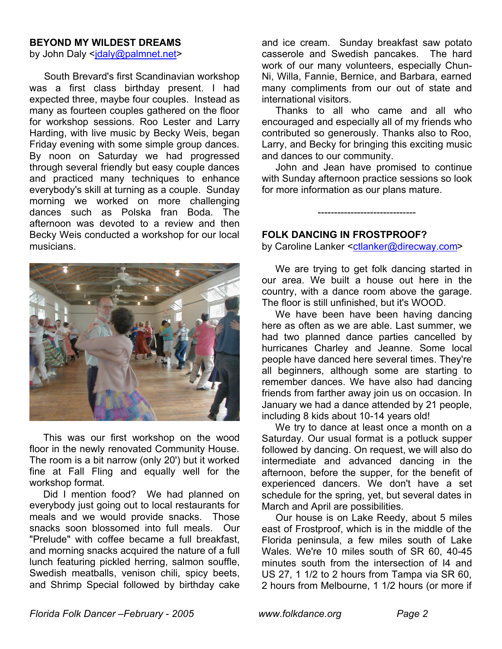#### **BEYOND MY WILDEST DREAMS**

by John Daly <jdaly@palmnet.net>

 South Brevard's first Scandinavian workshop was a first class birthday present. I had expected three, maybe four couples. Instead as many as fourteen couples gathered on the floor for workshop sessions. Roo Lester and Larry Harding, with live music by Becky Weis, began Friday evening with some simple group dances. By noon on Saturday we had progressed through several friendly but easy couple dances and practiced many techniques to enhance everybody's skill at turning as a couple. Sunday morning we worked on more challenging dances such as Polska fran Boda. The afternoon was devoted to a review and then Becky Weis conducted a workshop for our local musicians.



 This was our first workshop on the wood floor in the newly renovated Community House. The room is a bit narrow (only 20') but it worked fine at Fall Fling and equally well for the workshop format.

 Did I mention food? We had planned on everybody just going out to local restaurants for meals and we would provide snacks. Those snacks soon blossomed into full meals. Our "Prelude" with coffee became a full breakfast, and morning snacks acquired the nature of a full lunch featuring pickled herring, salmon souffle, Swedish meatballs, venison chili, spicy beets, and Shrimp Special followed by birthday cake and ice cream. Sunday breakfast saw potato casserole and Swedish pancakes. The hard work of our many volunteers, especially Chun-Ni, Willa, Fannie, Bernice, and Barbara, earned many compliments from our out of state and international visitors.

 Thanks to all who came and all who encouraged and especially all of my friends who contributed so generously. Thanks also to Roo, Larry, and Becky for bringing this exciting music and dances to our community.

 John and Jean have promised to continue with Sunday afternoon practice sessions so look for more information as our plans mature.

------------------------------

### **FOLK DANCING IN FROSTPROOF?**

by Caroline Lanker <ctlanker@direcway.com>

 We are trying to get folk dancing started in our area. We built a house out here in the country, with a dance room above the garage. The floor is still unfinished, but it's WOOD.

 We have been have been having dancing here as often as we are able. Last summer, we had two planned dance parties cancelled by hurricanes Charley and Jeanne. Some local people have danced here several times. They're all beginners, although some are starting to remember dances. We have also had dancing friends from farther away join us on occasion. In January we had a dance attended by 21 people, including 8 kids about 10-14 years old!

 We try to dance at least once a month on a Saturday. Our usual format is a potluck supper followed by dancing. On request, we will also do intermediate and advanced dancing in the afternoon, before the supper, for the benefit of experienced dancers. We don't have a set schedule for the spring, yet, but several dates in March and April are possibilities.

 Our house is on Lake Reedy, about 5 miles east of Frostproof, which is in the middle of the Florida peninsula, a few miles south of Lake Wales. We're 10 miles south of SR 60, 40-45 minutes south from the intersection of I4 and US 27, 1 1/2 to 2 hours from Tampa via SR 60, 2 hours from Melbourne, 1 1/2 hours (or more if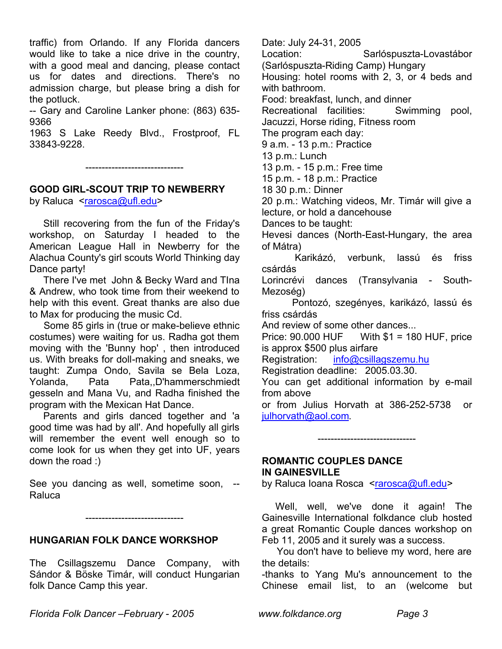traffic) from Orlando. If any Florida dancers would like to take a nice drive in the country, with a good meal and dancing, please contact us for dates and directions. There's no admission charge, but please bring a dish for the potluck.

-- Gary and Caroline Lanker phone: (863) 635- 9366

1963 S Lake Reedy Blvd., Frostproof, FL 33843-9228.

------------------------------

# **GOOD GIRL-SCOUT TRIP TO NEWBERRY**

by Raluca <rarosca@ufl.edu>

 Still recovering from the fun of the Friday's workshop, on Saturday I headed to the American League Hall in Newberry for the Alachua County's girl scouts World Thinking day Dance party!

 There I've met John & Becky Ward and TIna & Andrew, who took time from their weekend to help with this event. Great thanks are also due to Max for producing the music Cd.

 Some 85 girls in (true or make-believe ethnic costumes) were waiting for us. Radha got them moving with the 'Bunny hop' , then introduced us. With breaks for doll-making and sneaks, we taught: Zumpa Ondo, Savila se Bela Loza, Yolanda, Pata Pata,,D'hammerschmiedt gesseln and Mana Vu, and Radha finished the program with the Mexican Hat Dance.

 Parents and girls danced together and 'a good time was had by all'. And hopefully all girls will remember the event well enough so to come look for us when they get into UF, years down the road :)

See you dancing as well, sometime soon, -- Raluca

------------------------------

# **HUNGARIAN FOLK DANCE WORKSHOP**

The Csillagszemu Dance Company, with Sándor & Böske Timár, will conduct Hungarian folk Dance Camp this year.

Date: July 24-31, 2005 Location: Sarlóspuszta-Lovastábor (Sarlóspuszta-Riding Camp) Hungary Housing: hotel rooms with 2, 3, or 4 beds and with bathroom. Food: breakfast, lunch, and dinner Recreational facilities: Swimming pool, Jacuzzi, Horse riding, Fitness room The program each day: 9 a.m. - 13 p.m.: Practice 13 p.m.: Lunch 13 p.m. - 15 p.m.: Free time 15 p.m. - 18 p.m.: Practice 18 30 p.m.: Dinner 20 p.m.: Watching videos, Mr. Timár will give a lecture, or hold a dancehouse Dances to be taught: Hevesi dances (North-East-Hungary, the area of Mátra) Karikázó, verbunk, lassú és friss csárdás Lorincrévi dances (Transylvania - South-Mezoség) Pontozó, szegényes, karikázó, lassú és friss csárdás And review of some other dances... Price: 90.000 HUF With \$1 = 180 HUF, price is approx \$500 plus airfare Registration: info@csillagszemu.hu Registration deadline: 2005.03.30. You can get additional information by e-mail from above or from Julius Horvath at 386-252-5738 or julhorvath@aol.com.

## **ROMANTIC COUPLES DANCE IN GAINESVILLE**

by Raluca Ioana Rosca <rarosca@ufl.edu>

------------------------------

Well, well, we've done it again! The Gainesville International folkdance club hosted a great Romantic Couple dances workshop on Feb 11, 2005 and it surely was a success.

 You don't have to believe my word, here are the details:

-thanks to Yang Mu's announcement to the Chinese email list, to an (welcome but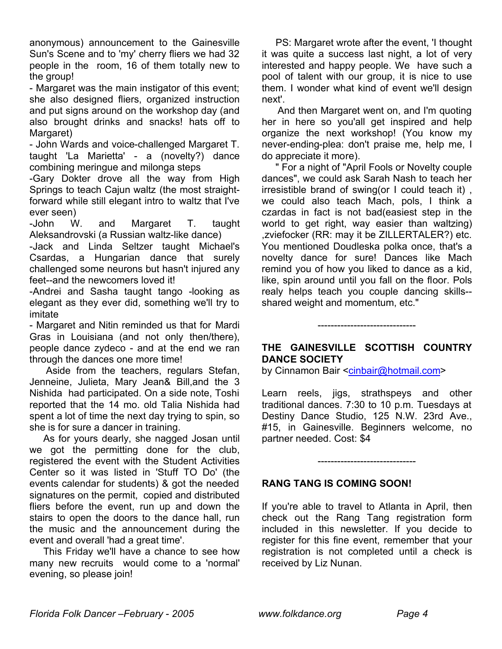anonymous) announcement to the Gainesville Sun's Scene and to 'my' cherry fliers we had 32 people in the room, 16 of them totally new to the group!

- Margaret was the main instigator of this event; she also designed fliers, organized instruction and put signs around on the workshop day (and also brought drinks and snacks! hats off to Margaret)

- John Wards and voice-challenged Margaret T. taught 'La Marietta' - a (novelty?) dance combining meringue and milonga steps

-Gary Dokter drove all the way from High Springs to teach Cajun waltz (the most straightforward while still elegant intro to waltz that I've ever seen)

-John W. and Margaret T. taught Aleksandrovski (a Russian waltz-like dance)

-Jack and Linda Seltzer taught Michael's Csardas, a Hungarian dance that surely challenged some neurons but hasn't injured any feet--and the newcomers loved it!

-Andrei and Sasha taught tango -looking as elegant as they ever did, something we'll try to imitate

- Margaret and Nitin reminded us that for Mardi Gras in Louisiana (and not only then/there), people dance zydeco - and at the end we ran through the dances one more time!

 Aside from the teachers, regulars Stefan, Jenneine, Julieta, Mary Jean& Bill,and the 3 Nishida had participated. On a side note, Toshi reported that the 14 mo. old Talia Nishida had spent a lot of time the next day trying to spin, so she is for sure a dancer in training.

 As for yours dearly, she nagged Josan until we got the permitting done for the club, registered the event with the Student Activities Center so it was listed in 'Stuff TO Do' (the events calendar for students) & got the needed signatures on the permit, copied and distributed fliers before the event, run up and down the stairs to open the doors to the dance hall, run the music and the announcement during the event and overall 'had a great time'.

 This Friday we'll have a chance to see how many new recruits would come to a 'normal' evening, so please join!

 PS: Margaret wrote after the event, 'I thought it was quite a success last night, a lot of very interested and happy people. We have such a pool of talent with our group, it is nice to use them. I wonder what kind of event we'll design next'.

 And then Margaret went on, and I'm quoting her in here so you'all get inspired and help organize the next workshop! (You know my never-ending-plea: don't praise me, help me, I do appreciate it more).

 " For a night of "April Fools or Novelty couple dances", we could ask Sarah Nash to teach her irresistible brand of swing(or I could teach it) , we could also teach Mach, pols, I think a czardas in fact is not bad(easiest step in the world to get right, way easier than waltzing) ,zviefocker (RR: may it be ZILLERTALER?) etc. You mentioned Doudleska polka once, that's a novelty dance for sure! Dances like Mach remind you of how you liked to dance as a kid, like, spin around until you fall on the floor. Pols realy helps teach you couple dancing skills- shared weight and momentum, etc."

## **THE GAINESVILLE SCOTTISH COUNTRY DANCE SOCIETY**

------------------------------

by Cinnamon Bair <cinbair@hotmail.com>

Learn reels, jigs, strathspeys and other traditional dances. 7:30 to 10 p.m. Tuesdays at Destiny Dance Studio, 125 N.W. 23rd Ave., #15, in Gainesville. Beginners welcome, no partner needed. Cost: \$4

------------------------------

# **RANG TANG IS COMING SOON!**

If you're able to travel to Atlanta in April, then check out the Rang Tang registration form included in this newsletter. If you decide to register for this fine event, remember that your registration is not completed until a check is received by Liz Nunan.